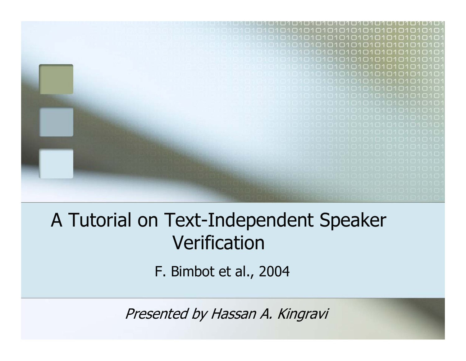

#### A Tutorial on Text-Independent Speaker Verification

F. Bimbot et al., 2004

Presented by Hassan A. Kingravi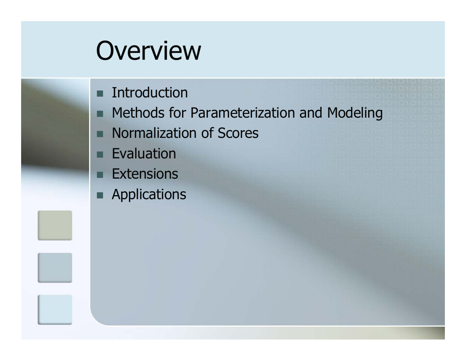### **Overview**

- Introduction
- П Methods for Parameterization and Modeling
- **Normalization of Scores**
- □ Evaluation
- п **Extensions**
- Applications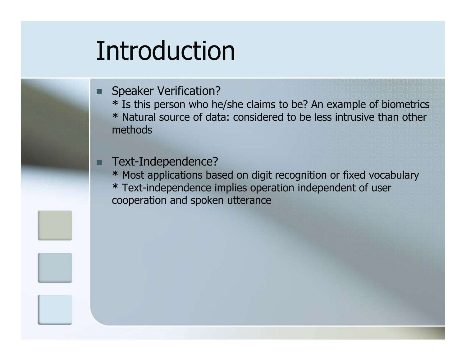### Introduction

П Speaker Verification?

**\*** Is this person who he/she claims to be? An example of biometrics

**\*** Natural source of data: considered to be less intrusive than other methods

Text-Independence?

**\*** Most applications based on digit recognition or fixed vocabulary **\*** Text-independence implies operation independent of user cooperation and spoken utterance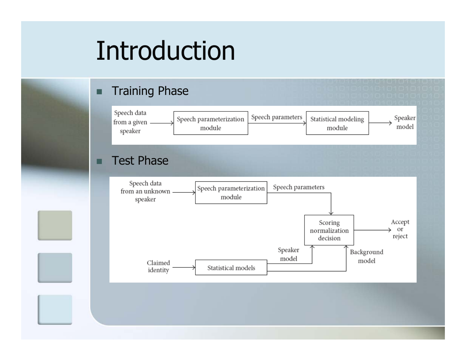### Introduction

#### ■ Training Phase

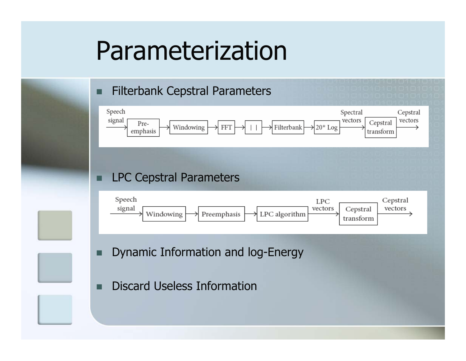#### Parameterization

#### П Filterbank Cepstral Parameters



#### LPC Cepstral Parameters



- Г Dynamic Information and log-Energy
- Г Discard Useless Information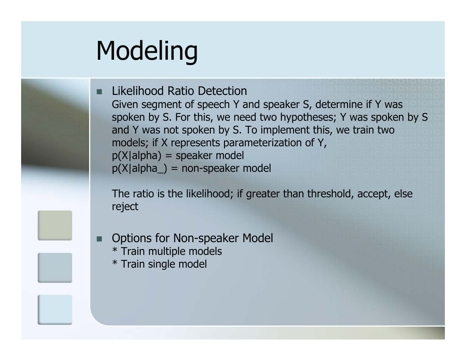# Modeling

П Likelihood Ratio Detection Given segment of speech Y and speaker S, determine if Y was spoken by S. For this, we need two hypotheses; Y was spoken by S and Y was not spoken by S. To implement this, we train two models; if X represents parameterization of Y,  $p(X|alpha) = speaker$  model p(X|alpha\_) = non-speaker model

The ratio is the likelihood; if greater than threshold, accept, else reject

- Options for Non-speaker Model \* Train multiple models
	- \* Train single model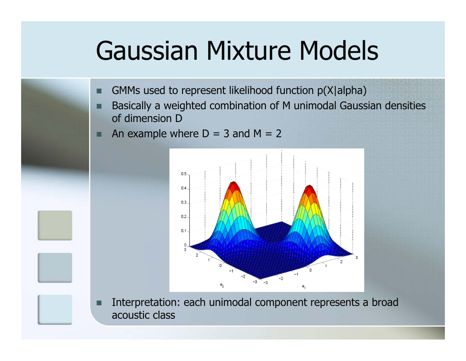### Gaussian Mixture Models

- П GMMs used to represent likelihood function p(X|alpha)
- Basically a weighted combination of M unimodal Gaussian densities of dimension D
- An example where  $D = 3$  and  $M = 2$



П Interpretation: each unimodal component represents a broad acoustic class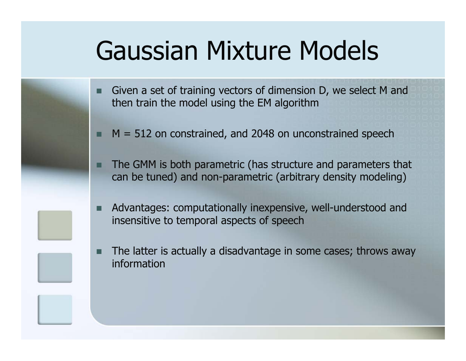### Gaussian Mixture Models

- ▉ Given a set of training vectors of dimension D, we select M and then train the model using the EM algorithm
- $M = 512$  on constrained, and 2048 on unconstrained speech
- The GMM is both parametric (has structure and parameters that can be tuned) and non-parametric (arbitrary density modeling)
- ▉ Advantages: computationally inexpensive, well-understood and insensitive to temporal aspects of speech
- П The latter is actually a disadvantage in some cases; throws away information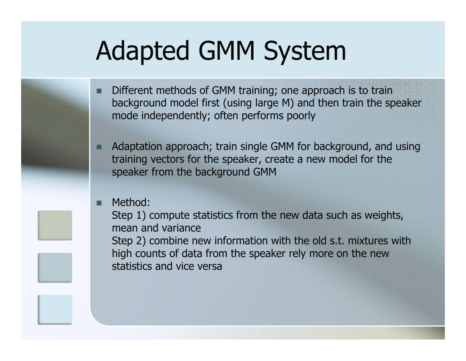## Adapted GMM System

- П Different methods of GMM training; one approach is to train background model first (using large M) and then train the speaker mode independently; often performs poorly
- Adaptation approach; train single GMM for background, and using training vectors for the speaker, create a new model for the speaker from the background GMM

#### П Method:

Step 1) compute statistics from the new data such as weights, mean and varianceStep 2) combine new information with the old s.t. mixtures with high counts of data from the speaker rely more on the new statistics and vice versa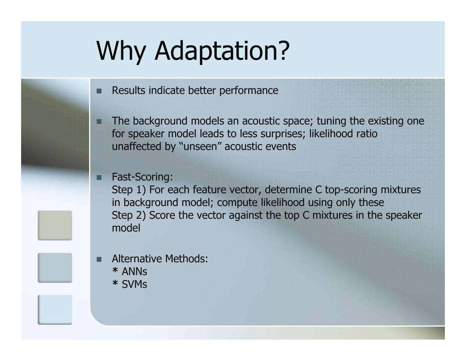## Why Adaptation?

- ▉ Results indicate better performance
- The background models an acoustic space; tuning the existing one for speaker model leads to less surprises; likelihood ratio unaffected by "unseen" acoustic events

#### Fast-Scoring:

Step 1) For each feature vector, determine C top-scoring mixtures in background model; compute likelihood using only these Step 2) Score the vector against the top C mixtures in the speaker model

П Alternative Methods: **\*** ANNs **\*** SVMs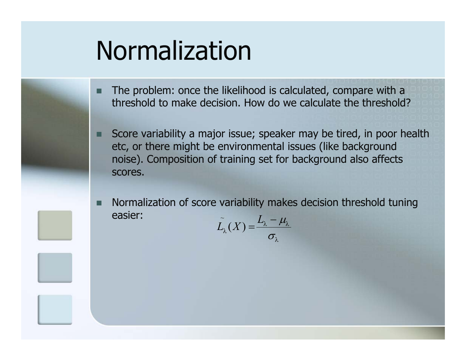## Normalization

- ▉ The problem: once the likelihood is calculated, compare with a threshold to make decision. How do we calculate the threshold?
- Score variability a major issue; speaker may be tired, in poor health etc, or there might be environmental issues (like background noise). Composition of training set for background also affects scores.
- П Normalization of score variability makes decision threshold tuning easier:~*L*

$$
\tilde{L_{\lambda}}(X) = \frac{L_{\lambda} - \mu_{\lambda}}{\sigma_{\lambda}}
$$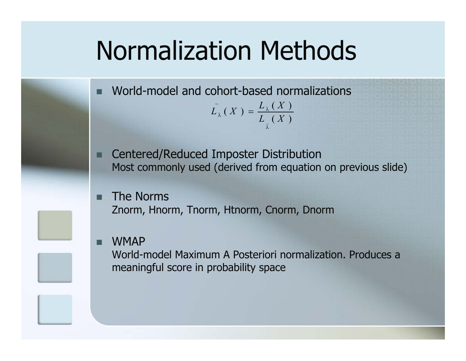### Normalization Methods

 World-model and cohort-based normalizations  $\widetilde{L}_{\lambda}(X) = \frac{L_{\lambda}(X)}{L(X)}$  $_{\lambda}(X) = \frac{E_{\lambda}}{I}$ =

E Centered/Reduced Imposter Distribution Most commonly used (derived from equation on previous slide)

λ

Г The Norms Znorm, Hnorm, Tnorm, Htnorm, Cnorm, Dnorm

#### Г WMAP

П

World-model Maximum A Posteriori normalization. Produces a meaningful score in probability space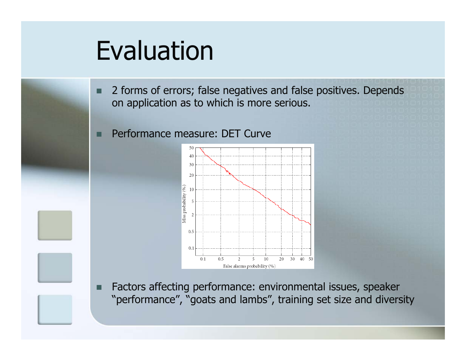### Evaluation

- П 2 forms of errors; false negatives and false positives. Depends on application as to which is more serious.
- Performance measure: DET Curve



П Factors affecting performance: environmental issues, speaker "performance", "goats and lambs", training set size and diversity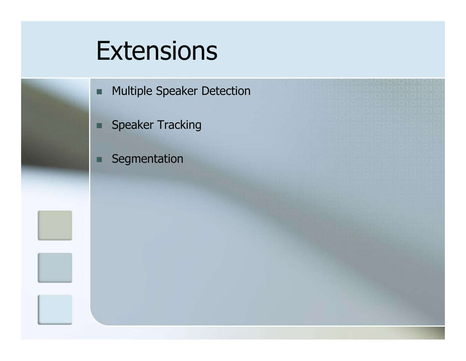#### **Extensions**

- п Multiple Speaker Detection
- Speaker Tracking
- □ Segmentation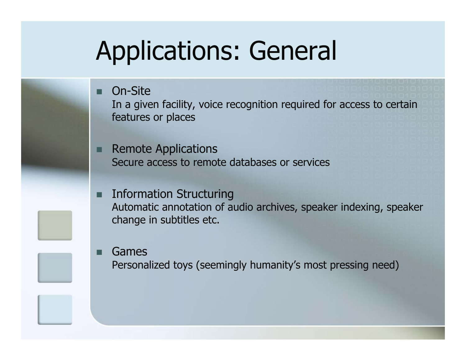## Applications: General

■ On-Site

Г

In a given facility, voice recognition required for access to certain features or places

- Remote Applications Secure access to remote databases or services
- Information Structuring Automatic annotation of audio archives, speaker indexing, speaker change in subtitles etc.
	- Games Personalized toys (seemingly humanity's most pressing need)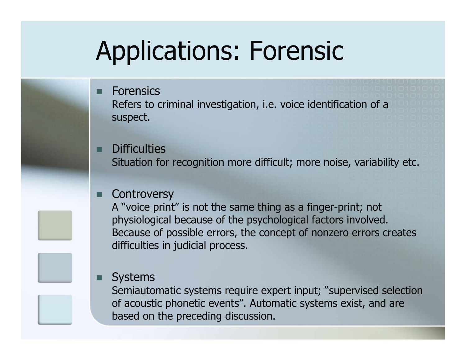## Applications: Forensic

#### ■ Forensics

Refers to criminal investigation, i.e. voice identification of a suspect.

#### **Difficulties**

Situation for recognition more difficult; more noise, variability etc.

#### **Controversy**

A "voice print" is not the same thing as a finger-print; not physiological because of the psychological factors involved. Because of possible errors, the concept of nonzero errors creates difficulties in judicial process.

#### Г **Systems**

Semiautomatic systems require expert input; "supervised selection of acoustic phonetic events". Automatic systems exist, and are based on the preceding discussion.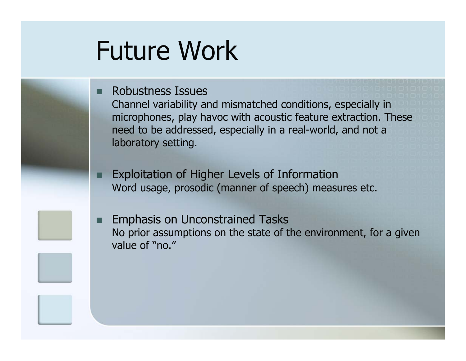### Future Work

#### ■ Robustness Issues

Channel variability and mismatched conditions, especially in microphones, play havoc with acoustic feature extraction. These need to be addressed, especially in a real-world, and not a laboratory setting.

F Exploitation of Higher Levels of Information Word usage, prosodic (manner of speech) measures etc.

Г Emphasis on Unconstrained Tasks No prior assumptions on the state of the environment, for a given value of "no."